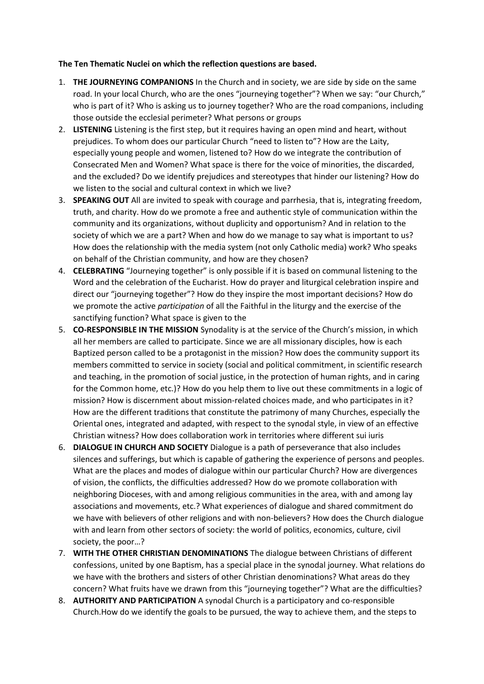## **The Ten Thematic Nuclei on which the reflection questions are based.**

- 1. **THE JOURNEYING COMPANIONS** In the Church and in society, we are side by side on the same road. In your local Church, who are the ones "journeying together"? When we say: "our Church," who is part of it? Who is asking us to journey together? Who are the road companions, including those outside the ecclesial perimeter? What persons or groups
- 2. **LISTENING** Listening is the first step, but it requires having an open mind and heart, without prejudices. To whom does our particular Church "need to listen to"? How are the Laity, especially young people and women, listened to? How do we integrate the contribution of Consecrated Men and Women? What space is there for the voice of minorities, the discarded, and the excluded? Do we identify prejudices and stereotypes that hinder our listening? How do we listen to the social and cultural context in which we live?
- 3. **SPEAKING OUT** All are invited to speak with courage and parrhesia, that is, integrating freedom, truth, and charity. How do we promote a free and authentic style of communication within the community and its organizations, without duplicity and opportunism? And in relation to the society of which we are a part? When and how do we manage to say what is important to us? How does the relationship with the media system (not only Catholic media) work? Who speaks on behalf of the Christian community, and how are they chosen?
- 4. **CELEBRATING** "Journeying together" is only possible if it is based on communal listening to the Word and the celebration of the Eucharist. How do prayer and liturgical celebration inspire and direct our "journeying together"? How do they inspire the most important decisions? How do we promote the active *participation* of all the Faithful in the liturgy and the exercise of the sanctifying function? What space is given to the
- 5. **CO-RESPONSIBLE IN THE MISSION** Synodality is at the service of the Church's mission, in which all her members are called to participate. Since we are all missionary disciples, how is each Baptized person called to be a protagonist in the mission? How does the community support its members committed to service in society (social and political commitment, in scientific research and teaching, in the promotion of social justice, in the protection of human rights, and in caring for the Common home, etc.)? How do you help them to live out these commitments in a logic of mission? How is discernment about mission-related choices made, and who participates in it? How are the different traditions that constitute the patrimony of many Churches, especially the Oriental ones, integrated and adapted, with respect to the synodal style, in view of an effective Christian witness? How does collaboration work in territories where different sui iuris
- 6. **DIALOGUE IN CHURCH AND SOCIETY** Dialogue is a path of perseverance that also includes silences and sufferings, but which is capable of gathering the experience of persons and peoples. What are the places and modes of dialogue within our particular Church? How are divergences of vision, the conflicts, the difficulties addressed? How do we promote collaboration with neighboring Dioceses, with and among religious communities in the area, with and among lay associations and movements, etc.? What experiences of dialogue and shared commitment do we have with believers of other religions and with non-believers? How does the Church dialogue with and learn from other sectors of society: the world of politics, economics, culture, civil society, the poor…?
- 7. **WITH THE OTHER CHRISTIAN DENOMINATIONS** The dialogue between Christians of different confessions, united by one Baptism, has a special place in the synodal journey. What relations do we have with the brothers and sisters of other Christian denominations? What areas do they concern? What fruits have we drawn from this "journeying together"? What are the difficulties?
- 8. **AUTHORITY AND PARTICIPATION** A synodal Church is a participatory and co-responsible Church.How do we identify the goals to be pursued, the way to achieve them, and the steps to